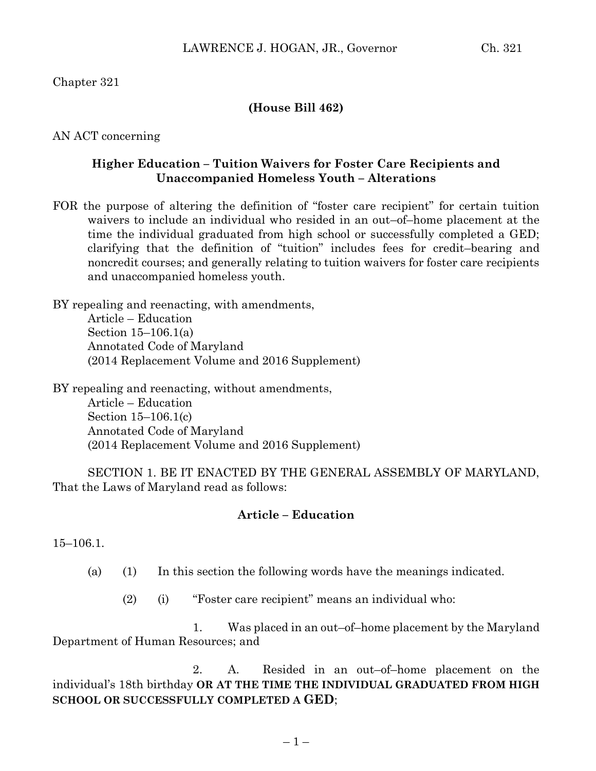Chapter 321

## **(House Bill 462)**

AN ACT concerning

## **Higher Education – Tuition Waivers for Foster Care Recipients and Unaccompanied Homeless Youth – Alterations**

FOR the purpose of altering the definition of "foster care recipient" for certain tuition waivers to include an individual who resided in an out–of–home placement at the time the individual graduated from high school or successfully completed a GED; clarifying that the definition of "tuition" includes fees for credit–bearing and noncredit courses; and generally relating to tuition waivers for foster care recipients and unaccompanied homeless youth.

BY repealing and reenacting, with amendments, Article – Education Section 15–106.1(a) Annotated Code of Maryland (2014 Replacement Volume and 2016 Supplement)

BY repealing and reenacting, without amendments, Article – Education Section 15–106.1(c) Annotated Code of Maryland (2014 Replacement Volume and 2016 Supplement)

SECTION 1. BE IT ENACTED BY THE GENERAL ASSEMBLY OF MARYLAND, That the Laws of Maryland read as follows:

## **Article – Education**

15–106.1.

- (a) (1) In this section the following words have the meanings indicated.
	- (2) (i) "Foster care recipient" means an individual who:

1. Was placed in an out–of–home placement by the Maryland Department of Human Resources; and

2. A. Resided in an out–of–home placement on the individual's 18th birthday **OR AT THE TIME THE INDIVIDUAL GRADUATED FROM HIGH SCHOOL OR SUCCESSFULLY COMPLETED A GED**;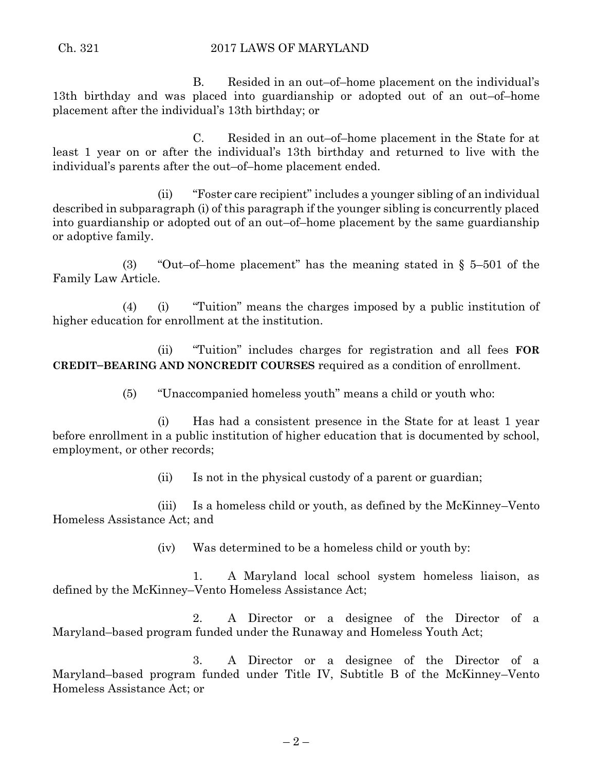B. Resided in an out–of–home placement on the individual's 13th birthday and was placed into guardianship or adopted out of an out–of–home placement after the individual's 13th birthday; or

C. Resided in an out–of–home placement in the State for at least 1 year on or after the individual's 13th birthday and returned to live with the individual's parents after the out–of–home placement ended.

(ii) "Foster care recipient" includes a younger sibling of an individual described in subparagraph (i) of this paragraph if the younger sibling is concurrently placed into guardianship or adopted out of an out–of–home placement by the same guardianship or adoptive family.

(3) "Out–of–home placement" has the meaning stated in § 5–501 of the Family Law Article.

(4) (i) "Tuition" means the charges imposed by a public institution of higher education for enrollment at the institution.

(ii) "Tuition" includes charges for registration and all fees **FOR CREDIT–BEARING AND NONCREDIT COURSES** required as a condition of enrollment.

(5) "Unaccompanied homeless youth" means a child or youth who:

(i) Has had a consistent presence in the State for at least 1 year before enrollment in a public institution of higher education that is documented by school, employment, or other records;

(ii) Is not in the physical custody of a parent or guardian;

(iii) Is a homeless child or youth, as defined by the McKinney–Vento Homeless Assistance Act; and

(iv) Was determined to be a homeless child or youth by:

1. A Maryland local school system homeless liaison, as defined by the McKinney–Vento Homeless Assistance Act;

2. A Director or a designee of the Director of a Maryland–based program funded under the Runaway and Homeless Youth Act;

3. A Director or a designee of the Director of a Maryland–based program funded under Title IV, Subtitle B of the McKinney–Vento Homeless Assistance Act; or

 $-2-$